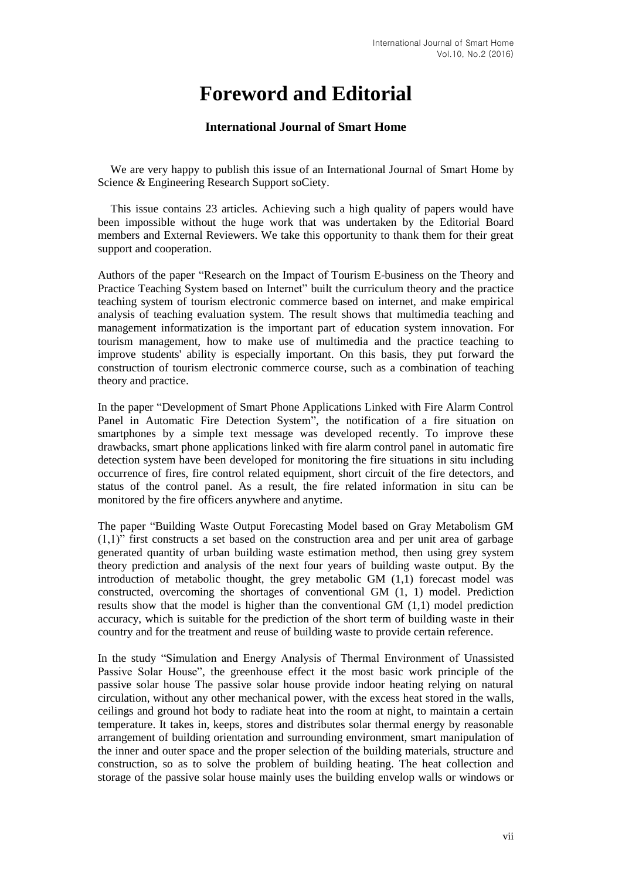## **Foreword and Editorial**

## **International Journal of Smart Home**

We are very happy to publish this issue of an International Journal of Smart Home by Science & Engineering Research Support soCiety.

This issue contains 23 articles. Achieving such a high quality of papers would have been impossible without the huge work that was undertaken by the Editorial Board members and External Reviewers. We take this opportunity to thank them for their great support and cooperation.

Authors of the paper "Research on the Impact of Tourism E-business on the Theory and Practice Teaching System based on Internet" built the curriculum theory and the practice teaching system of tourism electronic commerce based on internet, and make empirical analysis of teaching evaluation system. The result shows that multimedia teaching and management informatization is the important part of education system innovation. For tourism management, how to make use of multimedia and the practice teaching to improve students' ability is especially important. On this basis, they put forward the construction of tourism electronic commerce course, such as a combination of teaching theory and practice.

In the paper "Development of Smart Phone Applications Linked with Fire Alarm Control Panel in Automatic Fire Detection System", the notification of a fire situation on smartphones by a simple text message was developed recently. To improve these drawbacks, smart phone applications linked with fire alarm control panel in automatic fire detection system have been developed for monitoring the fire situations in situ including occurrence of fires, fire control related equipment, short circuit of the fire detectors, and status of the control panel. As a result, the fire related information in situ can be monitored by the fire officers anywhere and anytime.

The paper "Building Waste Output Forecasting Model based on Gray Metabolism GM  $(1,1)$ " first constructs a set based on the construction area and per unit area of garbage generated quantity of urban building waste estimation method, then using grey system theory prediction and analysis of the next four years of building waste output. By the introduction of metabolic thought, the grey metabolic GM (1,1) forecast model was constructed, overcoming the shortages of conventional GM (1, 1) model. Prediction results show that the model is higher than the conventional GM (1,1) model prediction accuracy, which is suitable for the prediction of the short term of building waste in their country and for the treatment and reuse of building waste to provide certain reference.

In the study "Simulation and Energy Analysis of Thermal Environment of Unassisted Passive Solar House", the greenhouse effect it the most basic work principle of the passive solar house The passive solar house provide indoor heating relying on natural circulation, without any other mechanical power, with the excess heat stored in the walls, ceilings and ground hot body to radiate heat into the room at night, to maintain a certain temperature. It takes in, keeps, stores and distributes solar thermal energy by reasonable arrangement of building orientation and surrounding environment, smart manipulation of the inner and outer space and the proper selection of the building materials, structure and construction, so as to solve the problem of building heating. The heat collection and storage of the passive solar house mainly uses the building envelop walls or windows or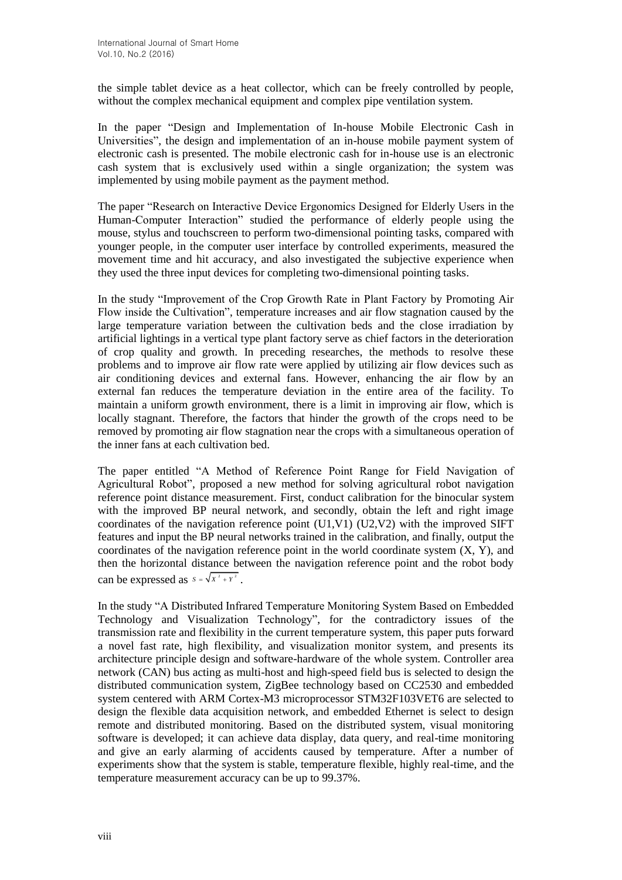the simple tablet device as a heat collector, which can be freely controlled by people, without the complex mechanical equipment and complex pipe ventilation system.

In the paper "Design and Implementation of In-house Mobile Electronic Cash in Universities", the design and implementation of an in-house mobile payment system of electronic cash is presented. The mobile electronic cash for in-house use is an electronic cash system that is exclusively used within a single organization; the system was implemented by using mobile payment as the payment method.

The paper "Research on Interactive Device Ergonomics Designed for Elderly Users in the Human-Computer Interaction" studied the performance of elderly people using the mouse, stylus and touchscreen to perform two-dimensional pointing tasks, compared with younger people, in the computer user interface by controlled experiments, measured the movement time and hit accuracy, and also investigated the subjective experience when they used the three input devices for completing two-dimensional pointing tasks.

In the study "Improvement of the Crop Growth Rate in Plant Factory by Promoting Air Flow inside the Cultivation", temperature increases and air flow stagnation caused by the large temperature variation between the cultivation beds and the close irradiation by artificial lightings in a vertical type plant factory serve as chief factors in the deterioration of crop quality and growth. In preceding researches, the methods to resolve these problems and to improve air flow rate were applied by utilizing air flow devices such as air conditioning devices and external fans. However, enhancing the air flow by an external fan reduces the temperature deviation in the entire area of the facility. To maintain a uniform growth environment, there is a limit in improving air flow, which is locally stagnant. Therefore, the factors that hinder the growth of the crops need to be removed by promoting air flow stagnation near the crops with a simultaneous operation of the inner fans at each cultivation bed.

The paper entitled "A Method of Reference Point Range for Field Navigation of Agricultural Robot", proposed a new method for solving agricultural robot navigation reference point distance measurement. First, conduct calibration for the binocular system with the improved BP neural network, and secondly, obtain the left and right image coordinates of the navigation reference point (U1,V1) (U2,V2) with the improved SIFT features and input the BP neural networks trained in the calibration, and finally, output the coordinates of the navigation reference point in the world coordinate system  $(X, Y)$ , and then the horizontal distance between the navigation reference point and the robot body can be expressed as  $s = \sqrt{x^2 + y^2}$ .

In the study "A Distributed Infrared Temperature Monitoring System Based on Embedded Technology and Visualization Technology", for the contradictory issues of the transmission rate and flexibility in the current temperature system, this paper puts forward a novel fast rate, high flexibility, and visualization monitor system, and presents its architecture principle design and software-hardware of the whole system. Controller area network (CAN) bus acting as multi-host and high-speed field bus is selected to design the distributed communication system, ZigBee technology based on CC2530 and embedded system centered with ARM Cortex-M3 microprocessor STM32F103VET6 are selected to design the flexible data acquisition network, and embedded Ethernet is select to design remote and distributed monitoring. Based on the distributed system, visual monitoring software is developed; it can achieve data display, data query, and real-time monitoring and give an early alarming of accidents caused by temperature. After a number of experiments show that the system is stable, temperature flexible, highly real-time, and the temperature measurement accuracy can be up to 99.37%.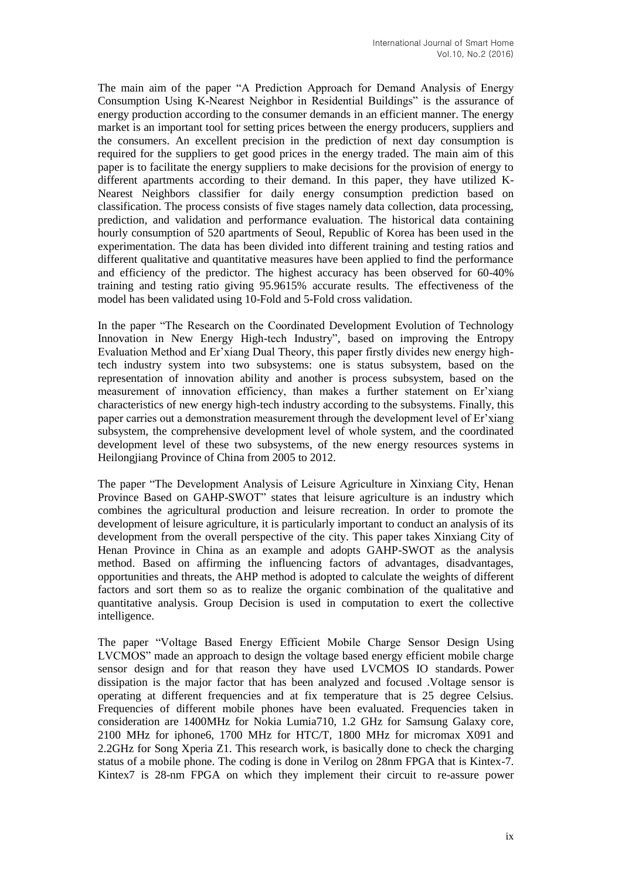The main aim of the paper "A Prediction Approach for Demand Analysis of Energy Consumption Using K-Nearest Neighbor in Residential Buildings" is the assurance of energy production according to the consumer demands in an efficient manner. The energy market is an important tool for setting prices between the energy producers, suppliers and the consumers. An excellent precision in the prediction of next day consumption is required for the suppliers to get good prices in the energy traded. The main aim of this paper is to facilitate the energy suppliers to make decisions for the provision of energy to different apartments according to their demand. In this paper, they have utilized K-Nearest Neighbors classifier for daily energy consumption prediction based on classification. The process consists of five stages namely data collection, data processing, prediction, and validation and performance evaluation. The historical data containing hourly consumption of 520 apartments of Seoul, Republic of Korea has been used in the experimentation. The data has been divided into different training and testing ratios and different qualitative and quantitative measures have been applied to find the performance and efficiency of the predictor. The highest accuracy has been observed for 60-40% training and testing ratio giving 95.9615% accurate results. The effectiveness of the model has been validated using 10-Fold and 5-Fold cross validation.

In the paper "The Research on the Coordinated Development Evolution of Technology Innovation in New Energy High-tech Industry", based on improving the Entropy Evaluation Method and Er'xiang Dual Theory, this paper firstly divides new energy hightech industry system into two subsystems: one is status subsystem, based on the representation of innovation ability and another is process subsystem, based on the measurement of innovation efficiency, than makes a further statement on Er'xiang characteristics of new energy high-tech industry according to the subsystems. Finally, this paper carries out a demonstration measurement through the development level of Er'xiang subsystem, the comprehensive development level of whole system, and the coordinated development level of these two subsystems, of the new energy resources systems in Heilongjiang Province of China from 2005 to 2012.

The paper "The Development Analysis of Leisure Agriculture in Xinxiang City, Henan Province Based on GAHP-SWOT" states that leisure agriculture is an industry which combines the agricultural production and leisure recreation. In order to promote the development of leisure agriculture, it is particularly important to conduct an analysis of its development from the overall perspective of the city. This paper takes Xinxiang City of Henan Province in China as an example and adopts GAHP-SWOT as the analysis method. Based on affirming the influencing factors of advantages, disadvantages, opportunities and threats, the AHP method is adopted to calculate the weights of different factors and sort them so as to realize the organic combination of the qualitative and quantitative analysis. Group Decision is used in computation to exert the collective intelligence.

The paper "Voltage Based Energy Efficient Mobile Charge Sensor Design Using LVCMOS" made an approach to design the voltage based energy efficient mobile charge sensor design and for that reason they have used LVCMOS IO standards. Power dissipation is the major factor that has been analyzed and focused .Voltage sensor is operating at different frequencies and at fix temperature that is 25 degree Celsius. Frequencies of different mobile phones have been evaluated. Frequencies taken in consideration are 1400MHz for Nokia Lumia710, 1.2 GHz for Samsung Galaxy core, 2100 MHz for iphone6, 1700 MHz for HTC/T, 1800 MHz for micromax X091 and 2.2GHz for Song Xperia Z1. This research work, is basically done to check the charging status of a mobile phone. The coding is done in Verilog on 28nm FPGA that is Kintex-7. Kintex7 is 28-nm FPGA on which they implement their circuit to re-assure power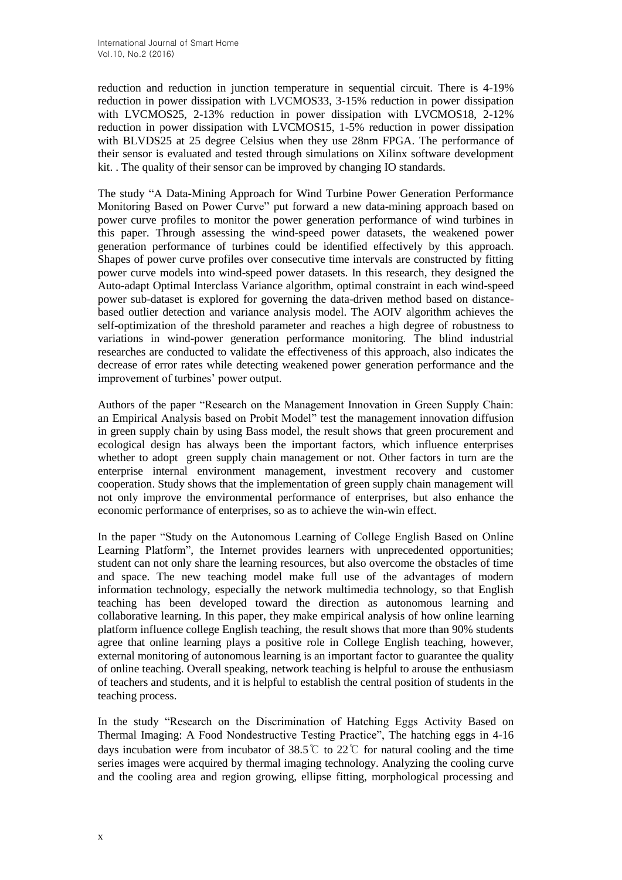reduction and reduction in junction temperature in sequential circuit. There is 4-19% reduction in power dissipation with LVCMOS33, 3-15% reduction in power dissipation with LVCMOS25, 2-13% reduction in power dissipation with LVCMOS18, 2-12% reduction in power dissipation with LVCMOS15, 1-5% reduction in power dissipation with BLVDS25 at 25 degree Celsius when they use 28nm FPGA. The performance of their sensor is evaluated and tested through simulations on Xilinx software development kit. . The quality of their sensor can be improved by changing IO standards.

The study "A Data-Mining Approach for Wind Turbine Power Generation Performance Monitoring Based on Power Curve" put forward a new data-mining approach based on power curve profiles to monitor the power generation performance of wind turbines in this paper. Through assessing the wind-speed power datasets, the weakened power generation performance of turbines could be identified effectively by this approach. Shapes of power curve profiles over consecutive time intervals are constructed by fitting power curve models into wind-speed power datasets. In this research, they designed the Auto-adapt Optimal Interclass Variance algorithm, optimal constraint in each wind-speed power sub-dataset is explored for governing the data-driven method based on distancebased outlier detection and variance analysis model. The AOIV algorithm achieves the self-optimization of the threshold parameter and reaches a high degree of robustness to variations in wind-power generation performance monitoring. The blind industrial researches are conducted to validate the effectiveness of this approach, also indicates the decrease of error rates while detecting weakened power generation performance and the improvement of turbines' power output.

Authors of the paper "Research on the Management Innovation in Green Supply Chain: an Empirical Analysis based on Probit Model" test the management innovation diffusion in green supply chain by using Bass model, the result shows that green procurement and ecological design has always been the important factors, which influence enterprises whether to adopt green supply chain management or not. Other factors in turn are the enterprise internal environment management, investment recovery and customer cooperation. Study shows that the implementation of green supply chain management will not only improve the environmental performance of enterprises, but also enhance the economic performance of enterprises, so as to achieve the win-win effect.

In the paper "Study on the Autonomous Learning of College English Based on Online Learning Platform", the Internet provides learners with unprecedented opportunities; student can not only share the learning resources, but also overcome the obstacles of time and space. The new teaching model make full use of the advantages of modern information technology, especially the network multimedia technology, so that English teaching has been developed toward the direction as autonomous learning and collaborative learning. In this paper, they make empirical analysis of how online learning platform influence college English teaching, the result shows that more than 90% students agree that online learning plays a positive role in College English teaching, however, external monitoring of autonomous learning is an important factor to guarantee the quality of online teaching. Overall speaking, network teaching is helpful to arouse the enthusiasm of teachers and students, and it is helpful to establish the central position of students in the teaching process.

In the study "Research on the Discrimination of Hatching Eggs Activity Based on Thermal Imaging: A Food Nondestructive Testing Practice", The hatching eggs in 4-16 days incubation were from incubator of 38.5°C to 22°C for natural cooling and the time series images were acquired by thermal imaging technology. Analyzing the cooling curve and the cooling area and region growing, ellipse fitting, morphological processing and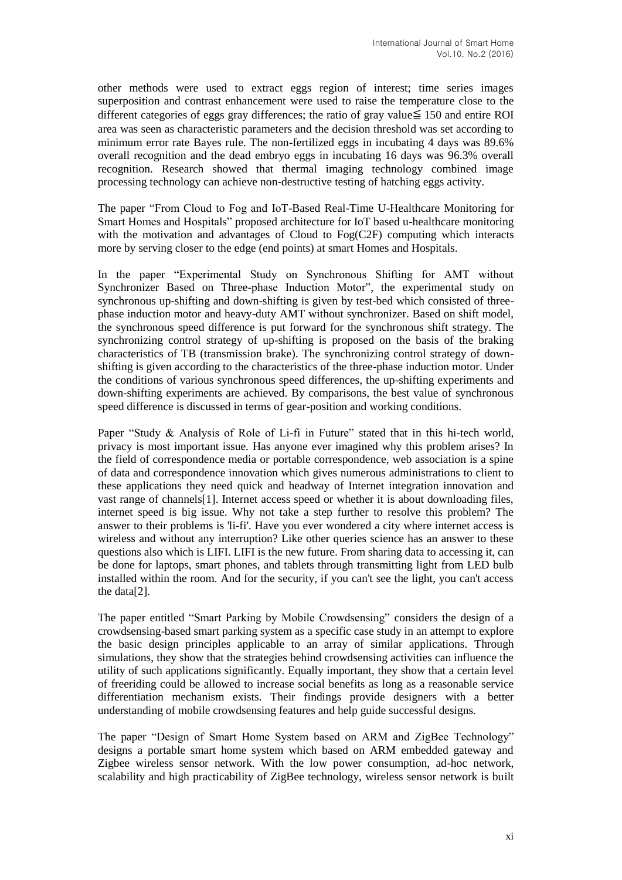other methods were used to extract eggs region of interest; time series images superposition and contrast enhancement were used to raise the temperature close to the different categories of eggs gray differences; the ratio of gray value $\leq 150$  and entire ROI area was seen as characteristic parameters and the decision threshold was set according to minimum error rate Bayes rule. The non-fertilized eggs in incubating 4 days was 89.6% overall recognition and the dead embryo eggs in incubating 16 days was 96.3% overall recognition. Research showed that thermal imaging technology combined image processing technology can achieve non-destructive testing of hatching eggs activity.

The paper "From Cloud to Fog and IoT-Based Real-Time U-Healthcare Monitoring for Smart Homes and Hospitals" proposed architecture for IoT based u-healthcare monitoring with the motivation and advantages of Cloud to Fog(C2F) computing which interacts more by serving closer to the edge (end points) at smart Homes and Hospitals.

In the paper "Experimental Study on Synchronous Shifting for AMT without Synchronizer Based on Three-phase Induction Motor", the experimental study on synchronous up-shifting and down-shifting is given by test-bed which consisted of threephase induction motor and heavy-duty AMT without synchronizer. Based on shift model, the synchronous speed difference is put forward for the synchronous shift strategy. The synchronizing control strategy of up-shifting is proposed on the basis of the braking characteristics of TB (transmission brake). The synchronizing control strategy of downshifting is given according to the characteristics of the three-phase induction motor. Under the conditions of various synchronous speed differences, the up-shifting experiments and down-shifting experiments are achieved. By comparisons, the best value of synchronous speed difference is discussed in terms of gear-position and working conditions.

Paper "Study & Analysis of Role of Li-fi in Future" stated that in this hi-tech world, privacy is most important issue. Has anyone ever imagined why this problem arises? In the field of correspondence media or portable correspondence, web association is a spine of data and correspondence innovation which gives numerous administrations to client to these applications they need quick and headway of Internet integration innovation and vast range of channels[1]. Internet access speed or whether it is about downloading files, internet speed is big issue. Why not take a step further to resolve this problem? The answer to their problems is 'li-fi'. Have you ever wondered a city where internet access is wireless and without any interruption? Like other queries science has an answer to these questions also which is LIFI. LIFI is the new future. From sharing data to accessing it, can be done for laptops, smart phones, and tablets through transmitting light from LED bulb installed within the room. And for the security, if you can't see the light, you can't access the data[2].

The paper entitled "Smart Parking by Mobile Crowdsensing" considers the design of a crowdsensing-based smart parking system as a specific case study in an attempt to explore the basic design principles applicable to an array of similar applications. Through simulations, they show that the strategies behind crowdsensing activities can influence the utility of such applications significantly. Equally important, they show that a certain level of freeriding could be allowed to increase social benefits as long as a reasonable service differentiation mechanism exists. Their findings provide designers with a better understanding of mobile crowdsensing features and help guide successful designs.

The paper "Design of Smart Home System based on ARM and ZigBee Technology" designs a portable smart home system which based on ARM embedded gateway and Zigbee wireless sensor network. With the low power consumption, ad-hoc network, scalability and high practicability of ZigBee technology, wireless sensor network is built